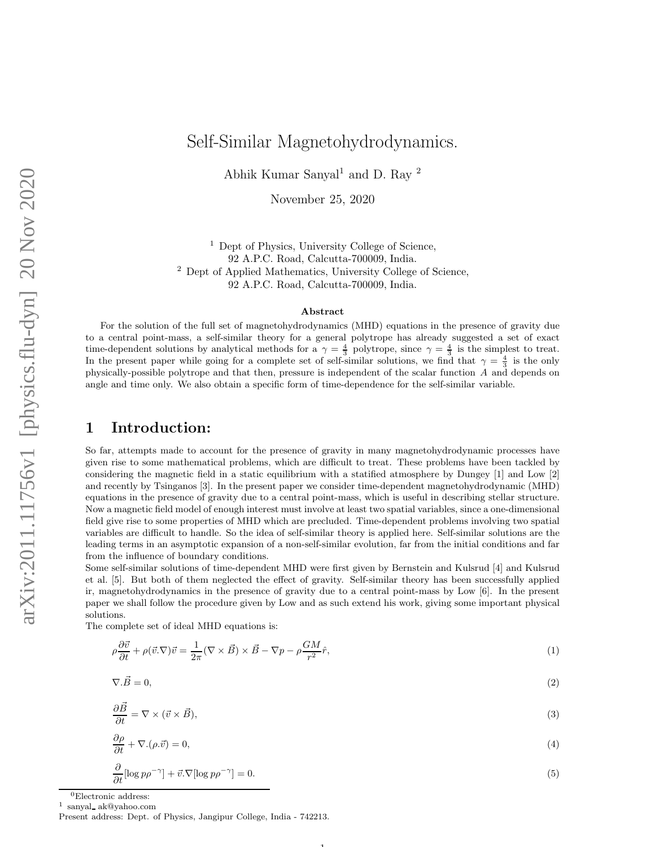# Self-Similar Magnetohydrodynamics.

Abhik Kumar Sanyal<sup>1</sup> and D. Ray <sup>2</sup>

November 25, 2020

<sup>1</sup> Dept of Physics, University College of Science, 92 A.P.C. Road, Calcutta-700009, India. <sup>2</sup> Dept of Applied Mathematics, University College of Science, 92 A.P.C. Road, Calcutta-700009, India.

#### Abstract

For the solution of the full set of magnetohydrodynamics (MHD) equations in the presence of gravity due to a central point-mass, a self-similar theory for a general polytrope has already suggested a set of exact time-dependent solutions by analytical methods for a  $\gamma = \frac{4}{3}$  polytrope, since  $\gamma = \frac{4}{3}$  is the simplest to treat. In the present paper while going for a complete set of self-similar solutions, we find that  $\gamma = \frac{4}{3}$  is the only physically-possible polytrope and that then, pressure is independent of the scalar function A and depends on angle and time only. We also obtain a specific form of time-dependence for the self-similar variable.

#### 1 Introduction:

So far, attempts made to account for the presence of gravity in many magnetohydrodynamic processes have given rise to some mathematical problems, which are difficult to treat. These problems have been tackled by considering the magnetic field in a static equilibrium with a statified atmosphere by Dungey [1] and Low [2] and recently by Tsinganos [3]. In the present paper we consider time-dependent magnetohydrodynamic (MHD) equations in the presence of gravity due to a central point-mass, which is useful in describing stellar structure. Now a magnetic field model of enough interest must involve at least two spatial variables, since a one-dimensional field give rise to some properties of MHD which are precluded. Time-dependent problems involving two spatial variables are difficult to handle. So the idea of self-similar theory is applied here. Self-similar solutions are the leading terms in an asymptotic expansion of a non-self-similar evolution, far from the initial conditions and far from the influence of boundary conditions.

Some self-similar solutions of time-dependent MHD were first given by Bernstein and Kulsrud [4] and Kulsrud et al. [5]. But both of them neglected the effect of gravity. Self-similar theory has been successfully applied ir, magnetohydrodynamics in the presence of gravity due to a central point-mass by Low [6]. In the present paper we shall follow the procedure given by Low and as such extend his work, giving some important physical solutions.

The complete set of ideal MHD equations is:

$$
\rho \frac{\partial \vec{v}}{\partial t} + \rho (\vec{v} \cdot \nabla) \vec{v} = \frac{1}{2\pi} (\nabla \times \vec{B}) \times \vec{B} - \nabla p - \rho \frac{GM}{r^2} \hat{r},\tag{1}
$$

$$
\nabla \cdot \vec{B} = 0,\tag{2}
$$

$$
\frac{\partial \vec{B}}{\partial t} = \nabla \times (\vec{v} \times \vec{B}),\tag{3}
$$

$$
\frac{\partial \rho}{\partial t} + \nabla \cdot (\rho \cdot \vec{v}) = 0,\tag{4}
$$

$$
\frac{\partial}{\partial t}[\log p\rho^{-\gamma}] + \vec{v}.\nabla[\log p\rho^{-\gamma}] = 0.
$$
\n(5)

1

 ${}^{0}$ Electronic address:

<sup>1</sup> sanyal ak@yahoo.com

Present address: Dept. of Physics, Jangipur College, India - 742213.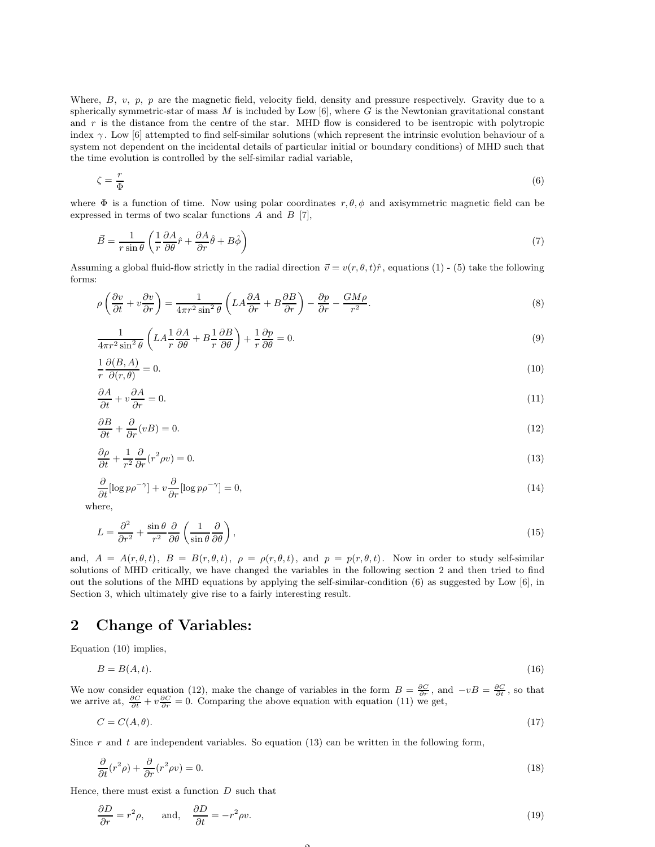Where, B, v, p, p are the magnetic field, velocity field, density and pressure respectively. Gravity due to a spherically symmetric-star of mass  $M$  is included by Low [6], where  $G$  is the Newtonian gravitational constant and  $r$  is the distance from the centre of the star. MHD flow is considered to be isentropic with polytropic index  $\gamma$ . Low [6] attempted to find self-similar solutions (which represent the intrinsic evolution behaviour of a system not dependent on the incidental details of particular initial or boundary conditions) of MHD such that the time evolution is controlled by the self-similar radial variable,

$$
\zeta = \frac{r}{\Phi} \tag{6}
$$

where  $\Phi$  is a function of time. Now using polar coordinates  $r, \theta, \phi$  and axisymmetric magnetic field can be expressed in terms of two scalar functions  $A$  and  $B$  [7],

$$
\vec{B} = \frac{1}{r\sin\theta} \left( \frac{1}{r} \frac{\partial A}{\partial \theta} \hat{r} + \frac{\partial A}{\partial r} \hat{\theta} + B\hat{\phi} \right)
$$
(7)

Assuming a global fluid-flow strictly in the radial direction  $\vec{v} = v(r, \theta, t)\hat{r}$ , equations (1) - (5) take the following forms:

$$
\rho \left( \frac{\partial v}{\partial t} + v \frac{\partial v}{\partial r} \right) = \frac{1}{4\pi r^2 \sin^2 \theta} \left( L A \frac{\partial A}{\partial r} + B \frac{\partial B}{\partial r} \right) - \frac{\partial p}{\partial r} - \frac{GM\rho}{r^2}.
$$
\n(8)

$$
\frac{1}{4\pi r^2 \sin^2 \theta} \left( L A \frac{1}{r} \frac{\partial A}{\partial \theta} + B \frac{1}{r} \frac{\partial B}{\partial \theta} \right) + \frac{1}{r} \frac{\partial p}{\partial \theta} = 0.
$$
\n(9)

$$
\frac{1}{r}\frac{\partial(B,A)}{\partial(r,\theta)} = 0.\tag{10}
$$

$$
\frac{\partial A}{\partial t} + v \frac{\partial A}{\partial r} = 0. \tag{11}
$$

$$
\frac{\partial B}{\partial t} + \frac{\partial}{\partial r}(vB) = 0.\tag{12}
$$

$$
\frac{\partial \rho}{\partial t} + \frac{1}{r^2} \frac{\partial}{\partial r} (r^2 \rho v) = 0. \tag{13}
$$

$$
\frac{\partial}{\partial t} [\log p \rho^{-\gamma}] + v \frac{\partial}{\partial r} [\log p \rho^{-\gamma}] = 0,\tag{14}
$$

where,

$$
L = \frac{\partial^2}{\partial r^2} + \frac{\sin \theta}{r^2} \frac{\partial}{\partial \theta} \left( \frac{1}{\sin \theta} \frac{\partial}{\partial \theta} \right),\tag{15}
$$

and,  $A = A(r, \theta, t)$ ,  $B = B(r, \theta, t)$ ,  $\rho = \rho(r, \theta, t)$ , and  $p = p(r, \theta, t)$ . Now in order to study self-similar solutions of MHD critically, we have changed the variables in the following section 2 and then tried to find out the solutions of the MHD equations by applying the self-similar-condition (6) as suggested by Low [6], in Section 3, which ultimately give rise to a fairly interesting result.

## 2 Change of Variables:

Equation (10) implies,

$$
B = B(A, t). \tag{16}
$$

We now consider equation (12), make the change of variables in the form  $B = \frac{\partial C}{\partial r}$ , and  $-vB = \frac{\partial C}{\partial t}$ , so that we arrive at,  $\frac{\partial C}{\partial t} + v \frac{\partial C}{\partial r} = 0$ . Comparing the above equation with equation (11) we get,

$$
C = C(A, \theta). \tag{17}
$$

Since  $r$  and  $t$  are independent variables. So equation (13) can be written in the following form,

$$
\frac{\partial}{\partial t}(r^2\rho) + \frac{\partial}{\partial r}(r^2\rho v) = 0.
$$
\n(18)

Hence, there must exist a function  $D$  such that

$$
\frac{\partial D}{\partial r} = r^2 \rho, \quad \text{and,} \quad \frac{\partial D}{\partial t} = -r^2 \rho v. \tag{19}
$$

 $\Omega$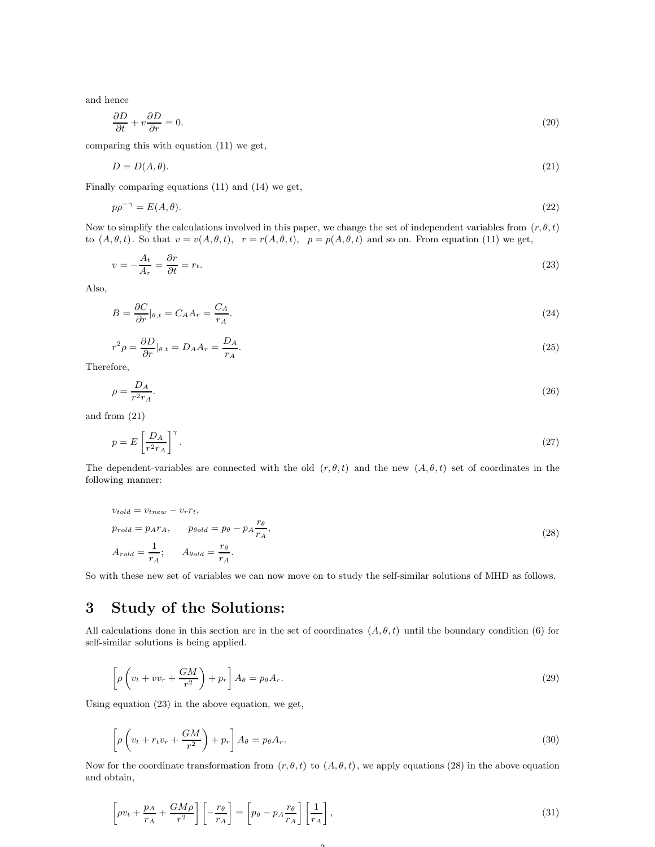and hence

$$
\frac{\partial D}{\partial t} + v \frac{\partial D}{\partial r} = 0. \tag{20}
$$

comparing this with equation (11) we get,

$$
D = D(A, \theta). \tag{21}
$$

Finally comparing equations (11) and (14) we get,

$$
p\rho^{-\gamma} = E(A, \theta). \tag{22}
$$

Now to simplify the calculations involved in this paper, we change the set of independent variables from  $(r, \theta, t)$ to  $(A, \theta, t)$ . So that  $v = v(A, \theta, t)$ ,  $r = r(A, \theta, t)$ ,  $p = p(A, \theta, t)$  and so on. From equation (11) we get,

$$
v = -\frac{A_t}{A_r} = \frac{\partial r}{\partial t} = r_t.
$$
\n<sup>(23)</sup>

Also,

$$
B = \frac{\partial C}{\partial r}|_{\theta, t} = C_A A_r = \frac{C_A}{r_A}.\tag{24}
$$

$$
r^2 \rho = \frac{\partial D}{\partial r}|_{\theta, t} = D_A A_r = \frac{D_A}{r_A}.\tag{25}
$$

Therefore,

$$
\rho = \frac{D_A}{r^2 r_A}.\tag{26}
$$

and from (21)

$$
p = E\left[\frac{D_A}{r^2 r_A}\right]^\gamma. \tag{27}
$$

The dependent-variables are connected with the old  $(r, \theta, t)$  and the new  $(A, \theta, t)$  set of coordinates in the following manner:

$$
v_{told} = v_{tnew} - v_r r_t,
$$
  
\n
$$
p_{roll} = p_A r_A, \qquad p_{bold} = p_\theta - p_A \frac{r_\theta}{r_A},
$$
  
\n
$$
A_{roll} = \frac{1}{r_A}; \qquad A_{bold} = \frac{r_\theta}{r_A}.
$$
\n(28)

So with these new set of variables we can now move on to study the self-similar solutions of MHD as follows.

# 3 Study of the Solutions:

All calculations done in this section are in the set of coordinates  $(A, \theta, t)$  until the boundary condition (6) for self-similar solutions is being applied.

$$
\left[\rho\left(v_t + vv_r + \frac{GM}{r^2}\right) + p_r\right]A_\theta = p_\theta A_r.
$$
\n(29)

Using equation (23) in the above equation, we get,

$$
\left[\rho\left(v_t + r_t v_r + \frac{GM}{r^2}\right) + p_r\right] A_\theta = p_\theta A_r.
$$
\n(30)

Now for the coordinate transformation from  $(r, \theta, t)$  to  $(A, \theta, t)$ , we apply equations (28) in the above equation and obtain,

 $\Omega$ 

$$
\left[\rho v_t + \frac{p_A}{r_A} + \frac{GM\rho}{r^2}\right] \left[-\frac{r_\theta}{r_A}\right] = \left[p_\theta - p_A \frac{r_\theta}{r_A}\right] \left[\frac{1}{r_A}\right],\tag{31}
$$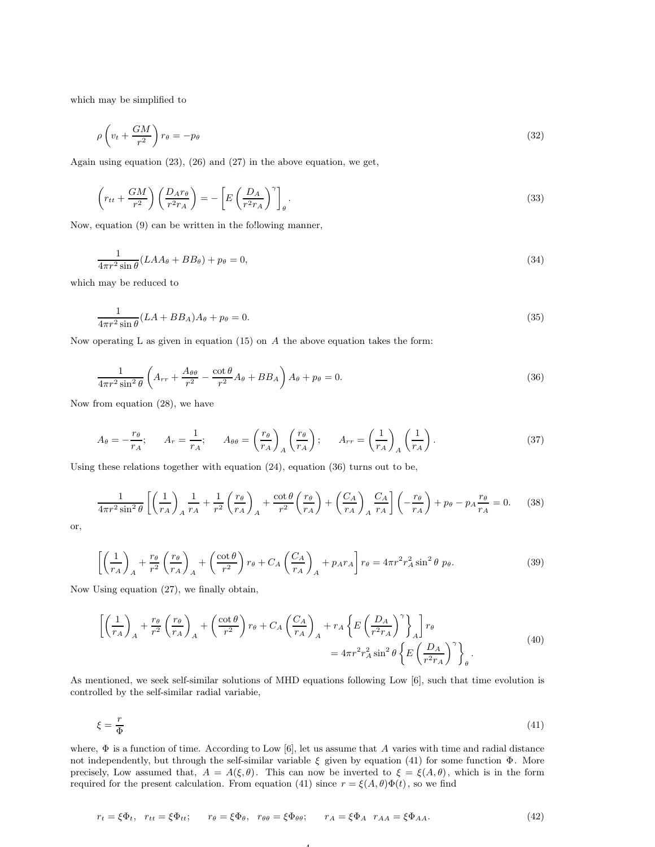which may be simplified to

$$
\rho \left( v_t + \frac{GM}{r^2} \right) r_\theta = -p_\theta \tag{32}
$$

Again using equation (23), (26) and (27) in the above equation, we get,

$$
\left(r_{tt} + \frac{GM}{r^2}\right)\left(\frac{D_A r_\theta}{r^2 r_A}\right) = -\left[E\left(\frac{D_A}{r^2 r_A}\right)^{\gamma}\right]_{\theta}.
$$
\n(33)

Now, equation (9) can be written in the fo!lowing manner,

$$
\frac{1}{4\pi r^2 \sin \theta} (LAA_{\theta} + BB_{\theta}) + p_{\theta} = 0,
$$
\n(34)

which may be reduced to

$$
\frac{1}{4\pi r^2 \sin \theta} (LA + BB_A)A_\theta + p_\theta = 0. \tag{35}
$$

Now operating L as given in equation (15) on  $A$  the above equation takes the form:

$$
\frac{1}{4\pi r^2 \sin^2 \theta} \left( A_{rr} + \frac{A_{\theta\theta}}{r^2} - \frac{\cot \theta}{r^2} A_{\theta} + B B_A \right) A_{\theta} + p_{\theta} = 0. \tag{36}
$$

Now from equation (28), we have

$$
A_{\theta} = -\frac{r_{\theta}}{r_A}; \qquad A_r = \frac{1}{r_A}; \qquad A_{\theta\theta} = \left(\frac{r_{\theta}}{r_A}\right)_A \left(\frac{r_{\theta}}{r_A}\right); \qquad A_{rr} = \left(\frac{1}{r_A}\right)_A \left(\frac{1}{r_A}\right). \tag{37}
$$

Using these relations together with equation (24), equation (36) turns out to be,

$$
\frac{1}{4\pi r^2 \sin^2 \theta} \left[ \left( \frac{1}{r_A} \right)_A \frac{1}{r_A} + \frac{1}{r^2} \left( \frac{r_\theta}{r_A} \right)_A + \frac{\cot \theta}{r^2} \left( \frac{r_\theta}{r_A} \right) + \left( \frac{C_A}{r_A} \right)_A \frac{C_A}{r_A} \right] \left( -\frac{r_\theta}{r_A} \right) + p_\theta - p_A \frac{r_\theta}{r_A} = 0. \tag{38}
$$

or,

$$
\left[ \left( \frac{1}{r_A} \right)_A + \frac{r_\theta}{r^2} \left( \frac{r_\theta}{r_A} \right)_A + \left( \frac{\cot \theta}{r^2} \right) r_\theta + C_A \left( \frac{C_A}{r_A} \right)_A + p_A r_A \right] r_\theta = 4\pi r^2 r_A^2 \sin^2 \theta \ p_\theta.
$$
\n(39)

Now Using equation (27), we finally obtain,

$$
\left[ \left( \frac{1}{r_A} \right)_A + \frac{r_\theta}{r^2} \left( \frac{r_\theta}{r_A} \right)_A + \left( \frac{\cot \theta}{r^2} \right) r_\theta + C_A \left( \frac{C_A}{r_A} \right)_A + r_A \left\{ E \left( \frac{D_A}{r^2 r_A} \right)^\gamma \right\}_A \right] r_\theta
$$
\n
$$
= 4\pi r^2 r_A^2 \sin^2 \theta \left\{ E \left( \frac{D_A}{r^2 r_A} \right)^\gamma \right\}_\theta.
$$
\n(40)

As mentioned, we seek self-similar solutions of MHD equations following Low [6], such that time evolution is controlled by the self-similar radial variabie,

$$
\xi = \frac{r}{\Phi} \tag{41}
$$

where,  $\Phi$  is a function of time. According to Low [6], let us assume that A varies with time and radial distance not independently, but through the self-similar variable  $\xi$  given by equation (41) for some function  $\Phi$ . More precisely, Low assumed that,  $A = A(\xi, \theta)$ . This can now be inverted to  $\xi = \xi(A, \theta)$ , which is in the form required for the present calculation. From equation (41) since  $r = \xi(A, \theta)\Phi(t)$ , so we find

4

$$
r_t = \xi \Phi_t, \quad r_{tt} = \xi \Phi_{tt}; \qquad r_{\theta} = \xi \Phi_{\theta}, \quad r_{\theta\theta} = \xi \Phi_{\theta\theta}; \qquad r_A = \xi \Phi_A \quad r_{AA} = \xi \Phi_{AA}.
$$
 (42)